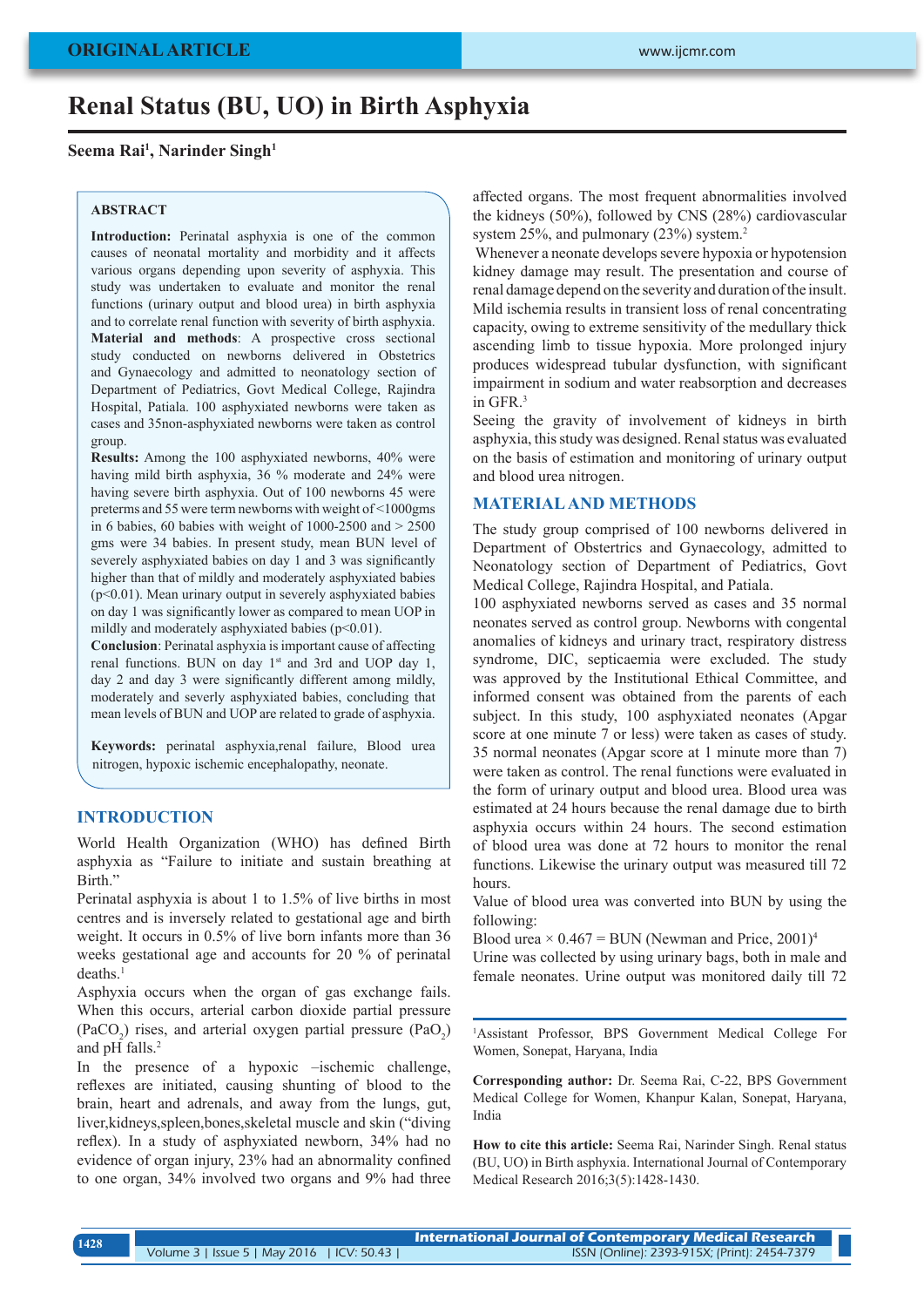# **Renal Status (BU, UO) in Birth Asphyxia**

**Seema Rai1 , Narinder Singh1**

#### **ABSTRACT**

**Introduction:** Perinatal asphyxia is one of the common causes of neonatal mortality and morbidity and it affects various organs depending upon severity of asphyxia. This study was undertaken to evaluate and monitor the renal functions (urinary output and blood urea) in birth asphyxia and to correlate renal function with severity of birth asphyxia. **Material and methods**: A prospective cross sectional study conducted on newborns delivered in Obstetrics and Gynaecology and admitted to neonatology section of Department of Pediatrics, Govt Medical College, Rajindra Hospital, Patiala. 100 asphyxiated newborns were taken as cases and 35non-asphyxiated newborns were taken as control group.

**Results:** Among the 100 asphyxiated newborns, 40% were having mild birth asphyxia, 36 % moderate and 24% were having severe birth asphyxia. Out of 100 newborns 45 were preterms and 55 were term newborns with weight of <1000gms in 6 babies, 60 babies with weight of  $1000-2500$  and  $> 2500$ gms were 34 babies. In present study, mean BUN level of severely asphyxiated babies on day 1 and 3 was significantly higher than that of mildly and moderately asphyxiated babies (p<0.01). Mean urinary output in severely asphyxiated babies on day 1 was significantly lower as compared to mean UOP in mildly and moderately asphyxiated babies ( $p<0.01$ ).

**Conclusion**: Perinatal asphyxia is important cause of affecting renal functions. BUN on day 1<sup>st</sup> and 3rd and UOP day 1, day 2 and day 3 were significantly different among mildly, moderately and severly asphyxiated babies, concluding that mean levels of BUN and UOP are related to grade of asphyxia.

**Keywords:** perinatal asphyxia,renal failure, Blood urea nitrogen, hypoxic ischemic encephalopathy, neonate.

# **INTRODUCTION**

World Health Organization (WHO) has defined Birth asphyxia as "Failure to initiate and sustain breathing at Birth."

Perinatal asphyxia is about 1 to 1.5% of live births in most centres and is inversely related to gestational age and birth weight. It occurs in 0.5% of live born infants more than 36 weeks gestational age and accounts for 20 % of perinatal deaths.<sup>1</sup>

Asphyxia occurs when the organ of gas exchange fails. When this occurs, arterial carbon dioxide partial pressure  $(PaCO<sub>2</sub>)$  rises, and arterial oxygen partial pressure  $(PaO<sub>2</sub>)$ and pH falls.<sup>2</sup>

In the presence of a hypoxic –ischemic challenge, reflexes are initiated, causing shunting of blood to the brain, heart and adrenals, and away from the lungs, gut, liver,kidneys,spleen,bones,skeletal muscle and skin ("diving reflex). In a study of asphyxiated newborn, 34% had no evidence of organ injury, 23% had an abnormality confined to one organ, 34% involved two organs and 9% had three affected organs. The most frequent abnormalities involved the kidneys (50%), followed by CNS (28%) cardiovascular system 25%, and pulmonary (23%) system.<sup>2</sup>

 Whenever a neonate develops severe hypoxia or hypotension kidney damage may result. The presentation and course of renal damage depend on the severity and duration of the insult. Mild ischemia results in transient loss of renal concentrating capacity, owing to extreme sensitivity of the medullary thick ascending limb to tissue hypoxia. More prolonged injury produces widespread tubular dysfunction, with significant impairment in sodium and water reabsorption and decreases in GFR.3

Seeing the gravity of involvement of kidneys in birth asphyxia, this study was designed. Renal status was evaluated on the basis of estimation and monitoring of urinary output and blood urea nitrogen.

#### **MATERIAL AND METHODS**

The study group comprised of 100 newborns delivered in Department of Obstertrics and Gynaecology, admitted to Neonatology section of Department of Pediatrics, Govt Medical College, Rajindra Hospital, and Patiala.

100 asphyxiated newborns served as cases and 35 normal neonates served as control group. Newborns with congental anomalies of kidneys and urinary tract, respiratory distress syndrome, DIC, septicaemia were excluded. The study was approved by the Institutional Ethical Committee, and informed consent was obtained from the parents of each subject. In this study, 100 asphyxiated neonates (Apgar score at one minute 7 or less) were taken as cases of study. 35 normal neonates (Apgar score at 1 minute more than 7) were taken as control. The renal functions were evaluated in the form of urinary output and blood urea. Blood urea was estimated at 24 hours because the renal damage due to birth asphyxia occurs within 24 hours. The second estimation of blood urea was done at 72 hours to monitor the renal functions. Likewise the urinary output was measured till 72 hours.

Value of blood urea was converted into BUN by using the following:

Blood urea  $\times$  0.467 = BUN (Newman and Price, 2001)<sup>4</sup> Urine was collected by using urinary bags, both in male and female neonates. Urine output was monitored daily till 72

1 Assistant Professor, BPS Government Medical College For Women, Sonepat, Haryana, India

**Corresponding author:** Dr. Seema Rai, C-22, BPS Government Medical College for Women, Khanpur Kalan, Sonepat, Haryana, India

**How to cite this article:** Seema Rai, Narinder Singh. Renal status (BU, UO) in Birth asphyxia. International Journal of Contemporary Medical Research 2016;3(5):1428-1430.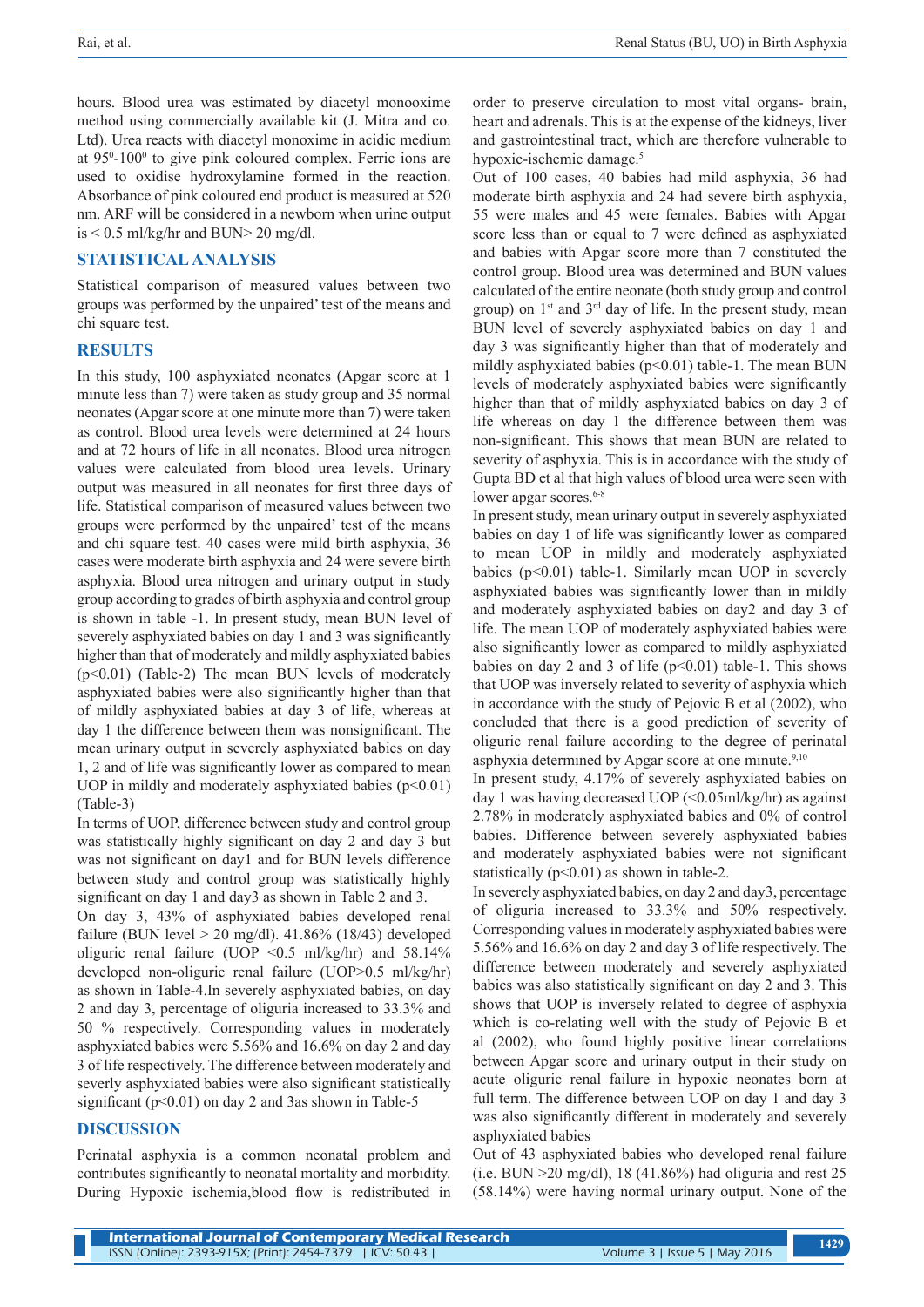hours. Blood urea was estimated by diacetyl monooxime method using commercially available kit (J. Mitra and co. Ltd). Urea reacts with diacetyl monoxime in acidic medium at 95<sup>0</sup>-100<sup>0</sup> to give pink coloured complex. Ferric ions are used to oxidise hydroxylamine formed in the reaction. Absorbance of pink coloured end product is measured at 520 nm. ARF will be considered in a newborn when urine output is  $\leq$  0.5 ml/kg/hr and BUN $>$  20 mg/dl.

# **STATISTICAL ANALYSIS**

Statistical comparison of measured values between two groups was performed by the unpaired' test of the means and chi square test.

## **RESULTS**

In this study, 100 asphyxiated neonates (Apgar score at 1 minute less than 7) were taken as study group and 35 normal neonates (Apgar score at one minute more than 7) were taken as control. Blood urea levels were determined at 24 hours and at 72 hours of life in all neonates. Blood urea nitrogen values were calculated from blood urea levels. Urinary output was measured in all neonates for first three days of life. Statistical comparison of measured values between two groups were performed by the unpaired' test of the means and chi square test. 40 cases were mild birth asphyxia, 36 cases were moderate birth asphyxia and 24 were severe birth asphyxia. Blood urea nitrogen and urinary output in study group according to grades of birth asphyxia and control group is shown in table -1. In present study, mean BUN level of severely asphyxiated babies on day 1 and 3 was significantly higher than that of moderately and mildly asphyxiated babies (p<0.01) (Table-2) The mean BUN levels of moderately asphyxiated babies were also significantly higher than that of mildly asphyxiated babies at day 3 of life, whereas at day 1 the difference between them was nonsignificant. The mean urinary output in severely asphyxiated babies on day 1, 2 and of life was significantly lower as compared to mean UOP in mildly and moderately asphyxiated babies  $(p<0.01)$ (Table-3)

In terms of UOP, difference between study and control group was statistically highly significant on day 2 and day 3 but was not significant on day1 and for BUN levels difference between study and control group was statistically highly significant on day 1 and day3 as shown in Table 2 and 3.

On day 3, 43% of asphyxiated babies developed renal failure (BUN level  $> 20$  mg/dl). 41.86% (18/43) developed oliguric renal failure (UOP  $\leq$ 0.5 ml/kg/hr) and 58.14% developed non-oliguric renal failure (UOP>0.5 ml/kg/hr) as shown in Table-4.In severely asphyxiated babies, on day 2 and day 3, percentage of oliguria increased to 33.3% and 50 % respectively. Corresponding values in moderately asphyxiated babies were 5.56% and 16.6% on day 2 and day 3 of life respectively. The difference between moderately and severly asphyxiated babies were also significant statistically significant ( $p<0.01$ ) on day 2 and 3as shown in Table-5

# **DISCUSSION**

Perinatal asphyxia is a common neonatal problem and contributes significantly to neonatal mortality and morbidity. During Hypoxic ischemia,blood flow is redistributed in order to preserve circulation to most vital organs- brain, heart and adrenals. This is at the expense of the kidneys, liver and gastrointestinal tract, which are therefore vulnerable to hypoxic-ischemic damage.<sup>5</sup>

Out of 100 cases, 40 babies had mild asphyxia, 36 had moderate birth asphyxia and 24 had severe birth asphyxia, 55 were males and 45 were females. Babies with Apgar score less than or equal to 7 were defined as asphyxiated and babies with Apgar score more than 7 constituted the control group. Blood urea was determined and BUN values calculated of the entire neonate (both study group and control group) on  $1<sup>st</sup>$  and  $3<sup>rd</sup>$  day of life. In the present study, mean BUN level of severely asphyxiated babies on day 1 and day 3 was significantly higher than that of moderately and mildly asphyxiated babies  $(p<0.01)$  table-1. The mean BUN levels of moderately asphyxiated babies were significantly higher than that of mildly asphyxiated babies on day 3 of life whereas on day 1 the difference between them was non-significant. This shows that mean BUN are related to severity of asphyxia. This is in accordance with the study of Gupta BD et al that high values of blood urea were seen with lower apgar scores.<sup>6-8</sup>

In present study, mean urinary output in severely asphyxiated babies on day 1 of life was significantly lower as compared to mean UOP in mildly and moderately asphyxiated babies (p<0.01) table-1. Similarly mean UOP in severely asphyxiated babies was significantly lower than in mildly and moderately asphyxiated babies on day2 and day 3 of life. The mean UOP of moderately asphyxiated babies were also significantly lower as compared to mildly asphyxiated babies on day 2 and 3 of life  $(p<0.01)$  table-1. This shows that UOP was inversely related to severity of asphyxia which in accordance with the study of Pejovic B et al (2002), who concluded that there is a good prediction of severity of oliguric renal failure according to the degree of perinatal asphyxia determined by Apgar score at one minute.<sup>9,10</sup>

In present study, 4.17% of severely asphyxiated babies on day 1 was having decreased UOP (<0.05ml/kg/hr) as against 2.78% in moderately asphyxiated babies and 0% of control babies. Difference between severely asphyxiated babies and moderately asphyxiated babies were not significant statistically  $(p<0.01)$  as shown in table-2.

In severely asphyxiated babies, on day 2 and day3, percentage of oliguria increased to 33.3% and 50% respectively. Corresponding values in moderately asphyxiated babies were 5.56% and 16.6% on day 2 and day 3 of life respectively. The difference between moderately and severely asphyxiated babies was also statistically significant on day 2 and 3. This shows that UOP is inversely related to degree of asphyxia which is co-relating well with the study of Pejovic B et al (2002), who found highly positive linear correlations between Apgar score and urinary output in their study on acute oliguric renal failure in hypoxic neonates born at full term. The difference between UOP on day 1 and day 3 was also significantly different in moderately and severely asphyxiated babies

Out of 43 asphyxiated babies who developed renal failure (i.e. BUN >20 mg/dl), 18 (41.86%) had oliguria and rest 25 (58.14%) were having normal urinary output. None of the